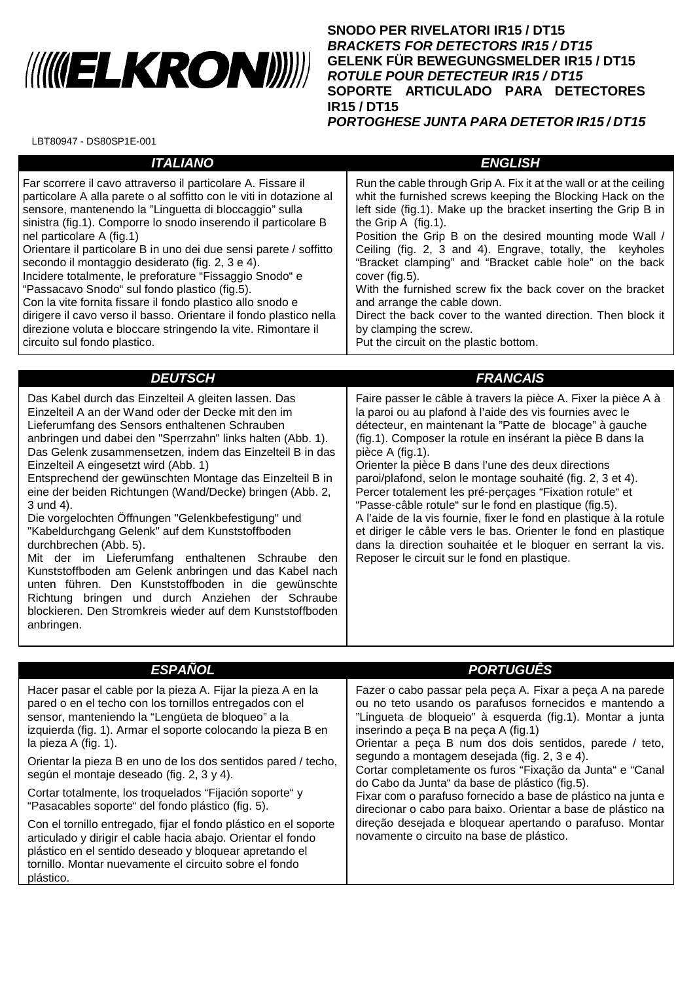## 

**SNODO PER RIVELATORI IR15 / DT15 BRACKETS FOR DETECTORS IR15 / DT15 GELENK FÜR BEWEGUNGSMELDER IR15 / DT15 ROTULE POUR DETECTEUR IR15 / DT15 SOPORTE ARTICULADO PARA DETECTORES IR15 / DT15 PORTOGHESE JUNTA PARA DETETOR IR15 / DT15**

LBT80947 - DS80SP1E-001

| <b>ITALIANO</b>                                                                                                                                                                                                                                                                                                                                                                                                                                                                                                                                                                                                                                                                                                                                                       | <b>ENGLISH</b>                                                                                                                                                                                                                                                                                                                                                                                                                                                                                                                                                                                                                                                     |
|-----------------------------------------------------------------------------------------------------------------------------------------------------------------------------------------------------------------------------------------------------------------------------------------------------------------------------------------------------------------------------------------------------------------------------------------------------------------------------------------------------------------------------------------------------------------------------------------------------------------------------------------------------------------------------------------------------------------------------------------------------------------------|--------------------------------------------------------------------------------------------------------------------------------------------------------------------------------------------------------------------------------------------------------------------------------------------------------------------------------------------------------------------------------------------------------------------------------------------------------------------------------------------------------------------------------------------------------------------------------------------------------------------------------------------------------------------|
| Far scorrere il cavo attraverso il particolare A. Fissare il<br>particolare A alla parete o al soffitto con le viti in dotazione al<br>sensore, mantenendo la "Linguetta di bloccaggio" sulla<br>sinistra (fig.1). Comporre lo snodo inserendo il particolare B<br>nel particolare A (fig.1)<br>Orientare il particolare B in uno dei due sensi parete / soffitto<br>secondo il montaggio desiderato (fig. 2, 3 e 4).<br>Incidere totalmente, le preforature "Fissaggio Snodo" e<br>"Passacavo Snodo" sul fondo plastico (fig.5).<br>Con la vite fornita fissare il fondo plastico allo snodo e<br>dirigere il cavo verso il basso. Orientare il fondo plastico nella<br>direzione voluta e bloccare stringendo la vite. Rimontare il<br>circuito sul fondo plastico. | Run the cable through Grip A. Fix it at the wall or at the ceiling<br>whit the furnished screws keeping the Blocking Hack on the<br>left side (fig.1). Make up the bracket inserting the Grip B in<br>the Grip $A$ (fig. 1).<br>Position the Grip B on the desired mounting mode Wall /<br>Ceiling (fig. 2, 3 and 4). Engrave, totally, the keyholes<br>"Bracket clamping" and "Bracket cable hole" on the back<br>cover (fig.5).<br>With the furnished screw fix the back cover on the bracket<br>and arrange the cable down.<br>Direct the back cover to the wanted direction. Then block it<br>by clamping the screw.<br>Put the circuit on the plastic bottom. |
|                                                                                                                                                                                                                                                                                                                                                                                                                                                                                                                                                                                                                                                                                                                                                                       |                                                                                                                                                                                                                                                                                                                                                                                                                                                                                                                                                                                                                                                                    |
| <b>DEUTSCH</b>                                                                                                                                                                                                                                                                                                                                                                                                                                                                                                                                                                                                                                                                                                                                                        | <b>FRANCAIS</b>                                                                                                                                                                                                                                                                                                                                                                                                                                                                                                                                                                                                                                                    |
| Das Kabel durch das Einzelteil A gleiten lassen. Das<br>Einzelteil A an der Wand oder der Decke mit den im<br>Lieferumfang des Sensors enthaltenen Schrauben<br>anbringen und dabei den "Sperrzahn" links halten (Abb. 1).<br>Das Gelenk zusammensetzen, indem das Einzelteil B in das<br>Einzelteil A eingesetzt wird (Abb. 1)                                                                                                                                                                                                                                                                                                                                                                                                                                       | Faire passer le câble à travers la pièce A. Fixer la pièce A à<br>la paroi ou au plafond à l'aide des vis fournies avec le<br>détecteur, en maintenant la "Patte de blocage" à gauche<br>(fig.1). Composer la rotule en insérant la pièce B dans la<br>pièce A (fig.1).<br>Orienter la pièce B dans l'une des deux directions                                                                                                                                                                                                                                                                                                                                      |

Entsprechend der gewünschten Montage das Einzelteil B in eine der beiden Richtungen (Wand/Decke) bringen (Abb. 2, 3 und 4).

Die vorgelochten Öffnungen "Gelenkbefestigung" und "Kabeldurchgang Gelenk" auf dem Kunststoffboden durchbrechen (Abb. 5).

Mit der im Lieferumfang enthaltenen Schraube den Kunststoffboden am Gelenk anbringen und das Kabel nach unten führen. Den Kunststoffboden in die gewünschte Richtung bringen und durch Anziehen der Schraube blockieren. Den Stromkreis wieder auf dem Kunststoffboden anbringen.

## paroi/plafond, selon le montage souhaité (fig. 2, 3 et 4).

Percer totalement les pré-perçages "Fixation rotule" et "Passe-câble rotule" sur le fond en plastique (fig.5). A l'aide de la vis fournie, fixer le fond en plastique à la rotule et diriger le câble vers le bas. Orienter le fond en plastique dans la direction souhaitée et le bloquer en serrant la vis. Reposer le circuit sur le fond en plastique.

| <b>ESPANOL</b>                                                                                                                                                                                                                                                                                                                                                                                                                                                                                                                                                                                                                                                                                  | <b>PORTUGUES</b>                                                                                                                                                                                                                                                                                                                                                                                                                                                                                                                                                                                                                                                                            |
|-------------------------------------------------------------------------------------------------------------------------------------------------------------------------------------------------------------------------------------------------------------------------------------------------------------------------------------------------------------------------------------------------------------------------------------------------------------------------------------------------------------------------------------------------------------------------------------------------------------------------------------------------------------------------------------------------|---------------------------------------------------------------------------------------------------------------------------------------------------------------------------------------------------------------------------------------------------------------------------------------------------------------------------------------------------------------------------------------------------------------------------------------------------------------------------------------------------------------------------------------------------------------------------------------------------------------------------------------------------------------------------------------------|
| Hacer pasar el cable por la pieza A. Fijar la pieza A en la<br>pared o en el techo con los tornillos entregados con el<br>sensor, manteniendo la "Lengüeta de bloqueo" a la<br>izquierda (fig. 1). Armar el soporte colocando la pieza B en<br>la pieza A (fig. 1).<br>Orientar la pieza B en uno de los dos sentidos pared / techo,<br>según el montaje deseado (fig. 2, 3 y 4).<br>Cortar totalmente, los troquelados "Fijación soporte" y<br>"Pasacables soporte" del fondo plástico (fig. 5).<br>Con el tornillo entregado, fijar el fondo plástico en el soporte<br>articulado y dirigir el cable hacia abajo. Orientar el fondo<br>plástico en el sentido deseado y bloquear apretando el | Fazer o cabo passar pela peça A. Fixar a peça A na parede<br>ou no teto usando os parafusos fornecidos e mantendo a<br>"Lingueta de bloqueio" à esquerda (fig.1). Montar a junta<br>inserindo a peca B na peca A (fig.1)<br>Orientar a peca B num dos dois sentidos, parede / teto,<br>segundo a montagem desejada (fig. 2, 3 e 4).<br>Cortar completamente os furos "Fixação da Junta" e "Canal<br>do Cabo da Junta" da base de plástico (fig.5).<br>Fixar com o parafuso fornecido a base de plástico na junta e<br>direcionar o cabo para baixo. Orientar a base de plástico na<br>direção desejada e bloquear apertando o parafuso. Montar<br>novamente o circuito na base de plástico. |
| tornillo. Montar nuevamente el circuito sobre el fondo<br>plástico.                                                                                                                                                                                                                                                                                                                                                                                                                                                                                                                                                                                                                             |                                                                                                                                                                                                                                                                                                                                                                                                                                                                                                                                                                                                                                                                                             |